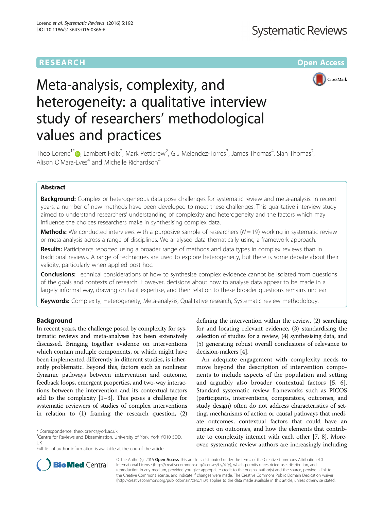## **RESEARCH CHE Open Access**



# Meta-analysis, complexity, and heterogeneity: a qualitative interview study of researchers' methodological values and practices

Theo Lorenc<sup>1\*</sup>�[,](http://orcid.org/0000-0001-8937-6378) Lambert Felix<sup>2</sup>, Mark Petticrew<sup>2</sup>, G J Melendez-Torres<sup>3</sup>, James Thomas<sup>4</sup>, Sian Thomas<sup>2</sup> , Alison O'Mara-Eves<sup>4</sup> and Michelle Richardson<sup>4</sup>

#### Abstract

Background: Complex or heterogeneous data pose challenges for systematic review and meta-analysis. In recent years, a number of new methods have been developed to meet these challenges. This qualitative interview study aimed to understand researchers' understanding of complexity and heterogeneity and the factors which may influence the choices researchers make in synthesising complex data.

**Methods:** We conducted interviews with a purposive sample of researchers  $(N = 19)$  working in systematic review or meta-analysis across a range of disciplines. We analysed data thematically using a framework approach.

Results: Participants reported using a broader range of methods and data types in complex reviews than in traditional reviews. A range of techniques are used to explore heterogeneity, but there is some debate about their validity, particularly when applied post hoc.

**Conclusions:** Technical considerations of how to synthesise complex evidence cannot be isolated from questions of the goals and contexts of research. However, decisions about how to analyse data appear to be made in a largely informal way, drawing on tacit expertise, and their relation to these broader questions remains unclear.

Keywords: Complexity, Heterogeneity, Meta-analysis, Qualitative research, Systematic review methodology,

#### Background

In recent years, the challenge posed by complexity for systematic reviews and meta-analyses has been extensively discussed. Bringing together evidence on interventions which contain multiple components, or which might have been implemented differently in different studies, is inherently problematic. Beyond this, factors such as nonlinear dynamic pathways between intervention and outcome, feedback loops, emergent properties, and two-way interactions between the intervention and its contextual factors add to the complexity [\[1](#page-7-0)–[3](#page-7-0)]. This poses a challenge for systematic reviewers of studies of complex interventions in relation to (1) framing the research question, (2)

<sup>1</sup> Centre for Reviews and Dissemination, University of York, York YO10 5DD, UK

defining the intervention within the review, (2) searching for and locating relevant evidence, (3) standardising the selection of studies for a review, (4) synthesising data, and (5) generating robust overall conclusions of relevance to decision-makers [[4](#page-7-0)].

An adequate engagement with complexity needs to move beyond the description of intervention components to include aspects of the population and setting and arguably also broader contextual factors [[5, 6](#page-7-0)]. Standard systematic review frameworks such as PICOS (participants, interventions, comparators, outcomes, and study design) often do not address characteristics of setting, mechanisms of action or causal pathways that mediate outcomes, contextual factors that could have an impact on outcomes, and how the elements that contribute to complexity interact with each other [\[7](#page-7-0), [8\]](#page-7-0). Moreover, systematic review authors are increasingly including



© The Author(s). 2016 Open Access This article is distributed under the terms of the Creative Commons Attribution 4.0 International License [\(http://creativecommons.org/licenses/by/4.0/](http://creativecommons.org/licenses/by/4.0/)), which permits unrestricted use, distribution, and reproduction in any medium, provided you give appropriate credit to the original author(s) and the source, provide a link to the Creative Commons license, and indicate if changes were made. The Creative Commons Public Domain Dedication waiver [\(http://creativecommons.org/publicdomain/zero/1.0/](http://creativecommons.org/publicdomain/zero/1.0/)) applies to the data made available in this article, unless otherwise stated.

<sup>\*</sup> Correspondence: [theo.lorenc@york.ac.uk](mailto:theo.lorenc@york.ac.uk) <sup>1</sup>

Full list of author information is available at the end of the article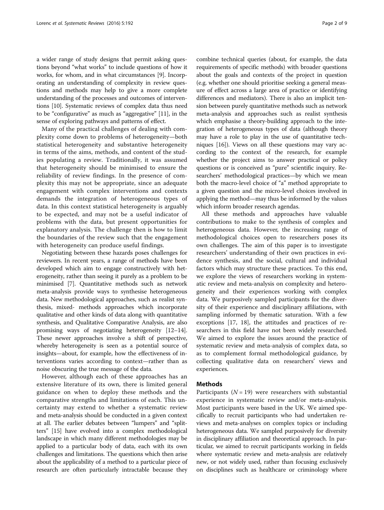a wider range of study designs that permit asking questions beyond "what works" to include questions of how it works, for whom, and in what circumstances [\[9\]](#page-7-0). Incorporating an understanding of complexity in review questions and methods may help to give a more complete understanding of the processes and outcomes of interventions [\[10\]](#page-7-0). Systematic reviews of complex data thus need to be "configurative" as much as "aggregative" [[11\]](#page-7-0), in the sense of exploring pathways and patterns of effect.

Many of the practical challenges of dealing with complexity come down to problems of heterogeneity—both statistical heterogeneity and substantive heterogeneity in terms of the aims, methods, and content of the studies populating a review. Traditionally, it was assumed that heterogeneity should be minimised to ensure the reliability of review findings. In the presence of complexity this may not be appropriate, since an adequate engagement with complex interventions and contexts demands the integration of heterogeneous types of data. In this context statistical heterogeneity is arguably to be expected, and may not be a useful indicator of problems with the data, but present opportunities for explanatory analysis. The challenge then is how to limit the boundaries of the review such that the engagement with heterogeneity can produce useful findings.

Negotiating between these hazards poses challenges for reviewers. In recent years, a range of methods have been developed which aim to engage constructively with heterogeneity, rather than seeing it purely as a problem to be minimised [[7](#page-7-0)]. Quantitative methods such as network meta-analysis provide ways to synthesise heterogeneous data. New methodological approaches, such as realist synthesis, mixed- methods approaches which incorporate qualitative and other kinds of data along with quantitative synthesis, and Qualitative Comparative Analysis, are also promising ways of negotiating heterogeneity [\[12](#page-7-0)–[14](#page-7-0)]. These newer approaches involve a shift of perspective, whereby heterogeneity is seen as a potential source of insights—about, for example, how the effectiveness of interventions varies according to context—rather than as noise obscuring the true message of the data.

However, although each of these approaches has an extensive literature of its own, there is limited general guidance on when to deploy these methods and the comparative strengths and limitations of each. This uncertainty may extend to whether a systematic review and meta-analysis should be conducted in a given context at all. The earlier debates between "lumpers" and "splitters" [\[15\]](#page-7-0) have evolved into a complex methodological landscape in which many different methodologies may be applied to a particular body of data, each with its own challenges and limitations. The questions which then arise about the applicability of a method to a particular piece of research are often particularly intractable because they

combine technical queries (about, for example, the data requirements of specific methods) with broader questions about the goals and contexts of the project in question (e.g. whether one should prioritise seeking a general measure of effect across a large area of practice or identifying differences and mediators). There is also an implicit tension between purely quantitative methods such as network meta-analysis and approaches such as realist synthesis which emphasise a theory-building approach to the integration of heterogeneous types of data (although theory may have a role to play in the use of quantitative techniques [\[16](#page-7-0)]). Views on all these questions may vary according to the context of the research, for example whether the project aims to answer practical or policy questions or is conceived as "pure" scientific inquiry. Researchers' methodological practices—by which we mean both the macro-level choice of "a" method appropriate to a given question and the micro-level choices involved in applying the method—may thus be informed by the values which inform broader research agendas.

All these methods and approaches have valuable contributions to make to the synthesis of complex and heterogeneous data. However, the increasing range of methodological choices open to researchers poses its own challenges. The aim of this paper is to investigate researchers' understanding of their own practices in evidence synthesis, and the social, cultural and individual factors which may structure these practices. To this end, we explore the views of researchers working in systematic review and meta-analysis on complexity and heterogeneity and their experiences working with complex data. We purposively sampled participants for the diversity of their experience and disciplinary affiliations, with sampling informed by thematic saturation. With a few exceptions [\[17](#page-7-0), [18](#page-7-0)], the attitudes and practices of researchers in this field have not been widely researched. We aimed to explore the issues around the practice of systematic review and meta-analysis of complex data, so as to complement formal methodological guidance, by collecting qualitative data on researchers' views and experiences.

#### Methods

Participants ( $N = 19$ ) were researchers with substantial experience in systematic review and/or meta-analysis. Most participants were based in the UK. We aimed specifically to recruit participants who had undertaken reviews and meta-analyses on complex topics or including heterogeneous data. We sampled purposively for diversity in disciplinary affiliation and theoretical approach. In particular, we aimed to recruit participants working in fields where systematic review and meta-analysis are relatively new, or not widely used, rather than focusing exclusively on disciplines such as healthcare or criminology where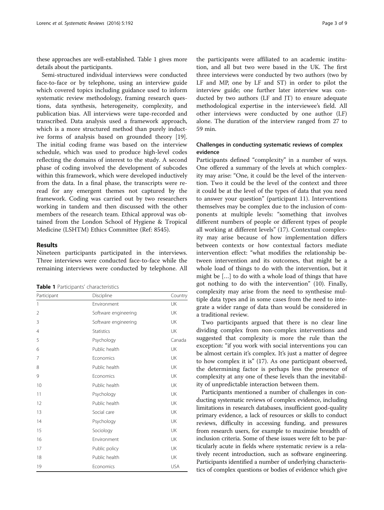these approaches are well-established. Table 1 gives more details about the participants.

Semi-structured individual interviews were conducted face-to-face or by telephone, using an interview guide which covered topics including guidance used to inform systematic review methodology, framing research questions, data synthesis, heterogeneity, complexity, and publication bias. All interviews were tape-recorded and transcribed. Data analysis used a framework approach, which is a more structured method than purely inductive forms of analysis based on grounded theory [\[19](#page-7-0)]. The initial coding frame was based on the interview schedule, which was used to produce high-level codes reflecting the domains of interest to the study. A second phase of coding involved the development of subcodes within this framework, which were developed inductively from the data. In a final phase, the transcripts were reread for any emergent themes not captured by the framework. Coding was carried out by two researchers working in tandem and then discussed with the other members of the research team. Ethical approval was obtained from the London School of Hygiene & Tropical Medicine (LSHTM) Ethics Committee (Ref: 8545).

#### Results

Nineteen participants participated in the interviews. Three interviews were conducted face-to-face while the remaining interviews were conducted by telephone. All

Table 1 Participants' characteristics

| Participant    | Discipline           | Country    |
|----------------|----------------------|------------|
| 1              | Environment          | <b>UK</b>  |
| 2              | Software engineering | UK         |
| 3              | Software engineering | UK         |
| $\overline{4}$ | <b>Statistics</b>    | UK         |
| 5              | Psychology           | Canada     |
| 6              | Public health        | UK         |
| 7              | Economics            | UK         |
| 8              | Public health        | UK         |
| 9              | Economics            | UK         |
| 10             | Public health        | UK         |
| 11             | Psychology           | UK         |
| 12             | Public health        | UK         |
| 13             | Social care          | UK         |
| 14             | Psychology           | UK         |
| 15             | Sociology            | UK         |
| 16             | Environment          | UK         |
| 17             | Public policy        | UK         |
| 18             | Public health        | UK         |
| 19             | Economics            | <b>USA</b> |

the participants were affiliated to an academic institution, and all but two were based in the UK. The first three interviews were conducted by two authors (two by LF and MP, one by LF and ST) in order to pilot the interview guide; one further later interview was conducted by two authors (LF and JT) to ensure adequate methodological expertise in the interviewee's field. All other interviews were conducted by one author (LF) alone. The duration of the interview ranged from 27 to 59 min.

#### Challenges in conducting systematic reviews of complex evidence

Participants defined "complexity" in a number of ways. One offered a summary of the levels at which complexity may arise: "One, it could be the level of the intervention. Two it could be the level of the context and three it could be at the level of the types of data that you need to answer your question" (participant 11). Interventions themselves may be complex due to the inclusion of components at multiple levels: "something that involves different numbers of people or different types of people all working at different levels" (17). Contextual complexity may arise because of how implementation differs between contexts or how contextual factors mediate intervention effect: "what modifies the relationship between intervention and its outcomes, that might be a whole load of things to do with the intervention, but it might be […] to do with a whole load of things that have got nothing to do with the intervention" (10). Finally, complexity may arise from the need to synthesise multiple data types and in some cases from the need to integrate a wider range of data than would be considered in a traditional review.

Two participants argued that there is no clear line dividing complex from non-complex interventions and suggested that complexity is more the rule than the exception: "if you work with social interventions you can be almost certain it's complex. It's just a matter of degree to how complex it is" (17). As one participant observed, the determining factor is perhaps less the presence of complexity at any one of these levels than the inevitability of unpredictable interaction between them.

Participants mentioned a number of challenges in conducting systematic reviews of complex evidence, including limitations in research databases, insufficient good-quality primary evidence, a lack of resources or skills to conduct reviews, difficulty in accessing funding, and pressures from research users, for example to maximise breadth of inclusion criteria. Some of these issues were felt to be particularly acute in fields where systematic review is a relatively recent introduction, such as software engineering. Participants identified a number of underlying characteristics of complex questions or bodies of evidence which give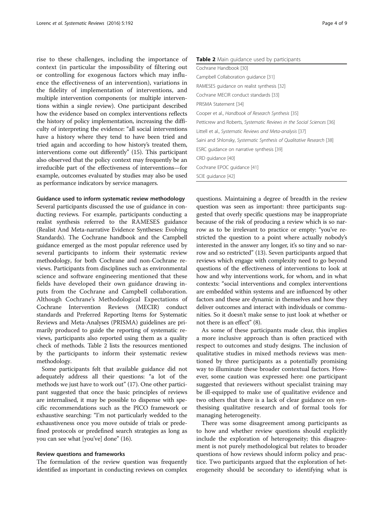rise to these challenges, including the importance of context (in particular the impossibility of filtering out or controlling for exogenous factors which may influence the effectiveness of an intervention), variations in the fidelity of implementation of interventions, and multiple intervention components (or multiple interventions within a single review). One participant described how the evidence based on complex interventions reflects the history of policy implementation, increasing the difficulty of interpreting the evidence: "all social interventions have a history where they tend to have been tried and tried again and according to how history's treated them, interventions come out differently" (15). This participant also observed that the policy context may frequently be an irreducible part of the effectiveness of interventions—for example, outcomes evaluated by studies may also be used as performance indicators by service managers.

#### Guidance used to inform systematic review methodology

Several participants discussed the use of guidance in conducting reviews. For example, participants conducting a realist synthesis referred to the RAMESES guidance (Realist And Meta-narrative Evidence Syntheses: Evolving Standards). The Cochrane handbook and the Campbell guidance emerged as the most popular reference used by several participants to inform their systematic review methodology, for both Cochrane and non-Cochrane reviews. Participants from disciplines such as environmental science and software engineering mentioned that these fields have developed their own guidance drawing inputs from the Cochrane and Campbell collaboration. Although Cochrane's Methodological Expectations of Cochrane Intervention Reviews (MECIR) conduct standards and Preferred Reporting Items for Systematic Reviews and Meta-Analyses (PRISMA) guidelines are primarily produced to guide the reporting of systematic reviews, participants also reported using them as a quality check of methods. Table 2 lists the resources mentioned by the participants to inform their systematic review methodology.

Some participants felt that available guidance did not adequately address all their questions: "a lot of the methods we just have to work out" (17). One other participant suggested that once the basic principles of reviews are internalised, it may be possible to dispense with specific recommendations such as the PICO framework or exhaustive searching: "I'm not particularly wedded to the exhaustiveness once you move outside of trials or predefined protocols or predefined search strategies as long as you can see what [you've] done" (16).

#### Review questions and frameworks

The formulation of the review question was frequently identified as important in conducting reviews on complex

Table 2 Main guidance used by participants

questions. Maintaining a degree of breadth in the review question was seen as important: three participants suggested that overly specific questions may be inappropriate because of the risk of producing a review which is so narrow as to be irrelevant to practice or empty: "you've restricted the question to a point where actually nobody's interested in the answer any longer, it's so tiny and so narrow and so restricted" (13). Seven participants argued that reviews which engage with complexity need to go beyond questions of the effectiveness of interventions to look at how and why interventions work, for whom, and in what contexts: "social interventions and complex interventions are embedded within systems and are influenced by other factors and these are dynamic in themselves and how they deliver outcomes and interact with individuals or communities. So it doesn't make sense to just look at whether or not there is an effect" (8).

As some of these participants made clear, this implies a more inclusive approach than is often practiced with respect to outcomes and study designs. The inclusion of qualitative studies in mixed methods reviews was mentioned by three participants as a potentially promising way to illuminate these broader contextual factors. However, some caution was expressed here: one participant suggested that reviewers without specialist training may be ill-equipped to make use of qualitative evidence and two others that there is a lack of clear guidance on synthesising qualitative research and of formal tools for managing heterogeneity.

There was some disagreement among participants as to how and whether review questions should explicitly include the exploration of heterogeneity; this disagreement is not purely methodological but relates to broader questions of how reviews should inform policy and practice. Two participants argued that the exploration of heterogeneity should be secondary to identifying what is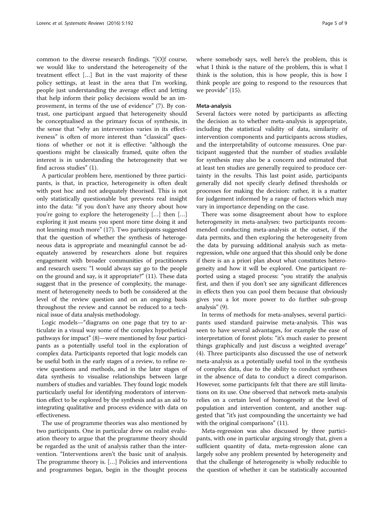common to the diverse research findings. "[O]f course, we would like to understand the heterogeneity of the treatment effect […] But in the vast majority of these policy settings, at least in the area that I'm working, people just understanding the average effect and letting that help inform their policy decisions would be an improvement, in terms of the use of evidence" (7). By contrast, one participant argued that heterogeneity should be conceptualised as the primary focus of synthesis, in the sense that "why an intervention varies in its effectiveness" is often of more interest than "classical" questions of whether or not it is effective: "although the questions might be classically framed, quite often the interest is in understanding the heterogeneity that we find across studies" (1).

A particular problem here, mentioned by three participants, is that, in practice, heterogeneity is often dealt with post hoc and not adequately theorised. This is not only statistically questionable but prevents real insight into the data: "if you don't have any theory about how you're going to explore the heterogeneity […] then […] exploring it just means you spent more time doing it and not learning much more" (17). Two participants suggested that the question of whether the synthesis of heterogeneous data is appropriate and meaningful cannot be adequately answered by researchers alone but requires engagement with broader communities of practitioners and research users: "I would always say go to the people on the ground and say, is it appropriate?" (11). These data suggest that in the presence of complexity, the management of heterogeneity needs to both be considered at the level of the review question and on an ongoing basis throughout the review and cannot be reduced to a technical issue of data analysis methodology.

Logic models—"diagrams on one page that try to articulate in a visual way some of the complex hypothetical pathways for impact" (8)—were mentioned by four participants as a potentially useful tool in the exploration of complex data. Participants reported that logic models can be useful both in the early stages of a review, to refine review questions and methods, and in the later stages of data synthesis to visualise relationships between large numbers of studies and variables. They found logic models particularly useful for identifying moderators of intervention effect to be explored by the synthesis and as an aid to integrating qualitative and process evidence with data on effectiveness.

The use of programme theories was also mentioned by two participants. One in particular drew on realist evaluation theory to argue that the programme theory should be regarded as the unit of analysis rather than the intervention. "Interventions aren't the basic unit of analysis. The programme theory is. […] Policies and interventions and programmes began, begin in the thought process where somebody says, well here's the problem, this is what I think is the nature of the problem, this is what I think is the solution, this is how people, this is how I think people are going to respond to the resources that we provide" (15).

#### Meta-analysis

Several factors were noted by participants as affecting the decision as to whether meta-analysis is appropriate, including the statistical validity of data, similarity of intervention components and participants across studies, and the interpretability of outcome measures. One participant suggested that the number of studies available for synthesis may also be a concern and estimated that at least ten studies are generally required to produce certainty in the results. This last point aside, participants generally did not specify clearly defined thresholds or processes for making the decision: rather, it is a matter for judgement informed by a range of factors which may vary in importance depending on the case.

There was some disagreement about how to explore heterogeneity in meta-analyses: two participants recommended conducting meta-analysis at the outset, if the data permits, and then exploring the heterogeneity from the data by pursuing additional analysis such as metaregression, while one argued that this should only be done if there is an a priori plan about what constitutes heterogeneity and how it will be explored. One participant reported using a staged process: "you stratify the analysis first, and then if you don't see any significant differences in effects then you can pool them because that obviously gives you a lot more power to do further sub-group analysis" (9).

In terms of methods for meta-analyses, several participants used standard pairwise meta-analysis. This was seen to have several advantages, for example the ease of interpretation of forest plots: "it's much easier to present things graphically and just discuss a weighted average" (4). Three participants also discussed the use of network meta-analysis as a potentially useful tool in the synthesis of complex data, due to the ability to conduct syntheses in the absence of data to conduct a direct comparison. However, some participants felt that there are still limitations on its use. One observed that network meta-analysis relies on a certain level of homogeneity at the level of population and intervention content, and another suggested that "it's just compounding the uncertainty we had with the original comparisons" (11).

Meta-regression was also discussed by three participants, with one in particular arguing strongly that, given a sufficient quantity of data, meta-regression alone can largely solve any problem presented by heterogeneity and that the challenge of heterogeneity is wholly reducible to the question of whether it can be statistically accounted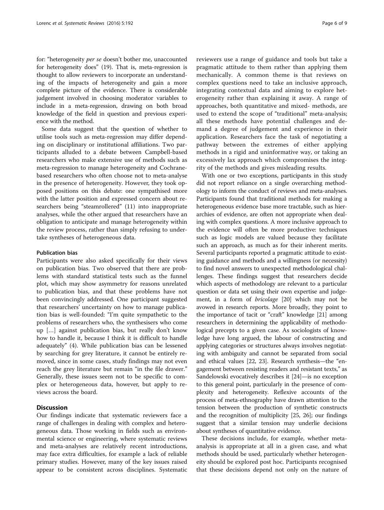for: "heterogeneity per se doesn't bother me, unaccounted for heterogeneity does" (19). That is, meta-regression is thought to allow reviewers to incorporate an understanding of the impacts of heterogeneity and gain a more complete picture of the evidence. There is considerable judgement involved in choosing moderator variables to include in a meta-regression, drawing on both broad knowledge of the field in question and previous experience with the method.

Some data suggest that the question of whether to utilise tools such as meta-regression may differ depending on disciplinary or institutional affiliations. Two participants alluded to a debate between Campbell-based researchers who make extensive use of methods such as meta-regression to manage heterogeneity and Cochranebased researchers who often choose not to meta-analyse in the presence of heterogeneity. However, they took opposed positions on this debate: one sympathised more with the latter position and expressed concern about researchers being "steamrollered" (11) into inappropriate analyses, while the other argued that researchers have an obligation to anticipate and manage heterogeneity within the review process, rather than simply refusing to undertake syntheses of heterogeneous data.

#### Publication bias

Participants were also asked specifically for their views on publication bias. Two observed that there are problems with standard statistical tests such as the funnel plot, which may show asymmetry for reasons unrelated to publication bias, and that these problems have not been convincingly addressed. One participant suggested that researchers' uncertainty on how to manage publication bias is well-founded: "I'm quite sympathetic to the problems of researchers who, the synthesisers who come up […] against publication bias, but really don't know how to handle it, because I think it is difficult to handle adequately" (4). While publication bias can be lessened by searching for grey literature, it cannot be entirely removed, since in some cases, study findings may not even reach the grey literature but remain "in the file drawer." Generally, these issues seem not to be specific to complex or heterogeneous data, however, but apply to reviews across the board.

#### **Discussion**

Our findings indicate that systematic reviewers face a range of challenges in dealing with complex and heterogeneous data. Those working in fields such as environmental science or engineering, where systematic reviews and meta-analyses are relatively recent introductions, may face extra difficulties, for example a lack of reliable primary studies. However, many of the key issues raised appear to be consistent across disciplines. Systematic reviewers use a range of guidance and tools but take a pragmatic attitude to them rather than applying them mechanically. A common theme is that reviews on complex questions need to take an inclusive approach, integrating contextual data and aiming to explore heterogeneity rather than explaining it away. A range of approaches, both quantitative and mixed- methods, are used to extend the scope of "traditional" meta-analysis; all these methods have potential challenges and demand a degree of judgement and experience in their application. Researchers face the task of negotiating a pathway between the extremes of either applying methods in a rigid and uninformative way, or taking an excessively lax approach which compromises the integrity of the methods and gives misleading results.

With one or two exceptions, participants in this study did not report reliance on a single overarching methodology to inform the conduct of reviews and meta-analyses. Participants found that traditional methods for making a heterogeneous evidence base more tractable, such as hierarchies of evidence, are often not appropriate when dealing with complex questions. A more inclusive approach to the evidence will often be more productive: techniques such as logic models are valued because they facilitate such an approach, as much as for their inherent merits. Several participants reported a pragmatic attitude to existing guidance and methods and a willingness (or necessity) to find novel answers to unexpected methodological challenges. These findings suggest that researchers decide which aspects of methodology are relevant to a particular question or data set using their own expertise and judgement, in a form of bricolage [[20](#page-7-0)] which may not be avowed in research reports. More broadly, they point to the importance of tacit or "craft" knowledge [[21](#page-7-0)] among researchers in determining the applicability of methodological precepts to a given case. As sociologists of knowledge have long argued, the labour of constructing and applying categories or structures always involves negotiating with ambiguity and cannot be separated from social and ethical values [[22](#page-7-0), [23](#page-7-0)]. Research synthesis—the "engagement between resisting readers and resistant texts," as Sandelowski evocatively describes it [\[24\]](#page-7-0)—is no exception to this general point, particularly in the presence of complexity and heterogeneity. Reflexive accounts of the process of meta-ethnography have drawn attention to the tension between the production of synthetic constructs and the recognition of multiplicity [\[25, 26\]](#page-7-0); our findings suggest that a similar tension may underlie decisions about syntheses of quantitative evidence.

These decisions include, for example, whether metaanalysis is appropriate at all in a given case, and what methods should be used, particularly whether heterogeneity should be explored post hoc. Participants recognised that these decisions depend not only on the nature of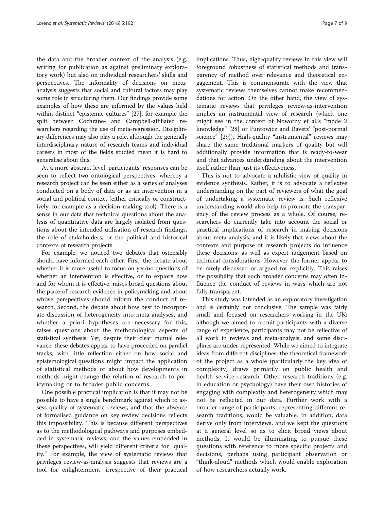the data and the broader context of the analysis (e.g. writing for publication as against preliminary exploratory work) but also on individual researchers' skills and perspectives. The informality of decisions on metaanalysis suggests that social and cultural factors may play some role in structuring them. Our findings provide some examples of how these are informed by the values held within distinct "epistemic cultures" [[27](#page-7-0)], for example the split between Cochrane- and Campbell-affiliated researchers regarding the use of meta-regression. Disciplinary differences may also play a role, although the generally interdisciplinary nature of research teams and individual careers in most of the fields studied mean it is hard to generalise about this.

At a more abstract level, participants' responses can be seen to reflect two ontological perspectives, whereby a research project can be seen either as a series of analyses conducted on a body of data or as an intervention in a social and political context (either critically or constructively, for example as a decision-making tool). There is a sense in our data that technical questions about the analysis of quantitative data are largely isolated from questions about the intended utilisation of research findings, the role of stakeholders, or the political and historical contexts of research projects.

For example, we noticed two debates that ostensibly should have informed each other. First, the debate about whether it is more useful to focus on yes/no questions of whether an intervention is effective, or to explore how and for whom it is effective, raises broad questions about the place of research evidence in policymaking and about whose perspectives should inform the conduct of research. Second, the debate about how best to incorporate discussion of heterogeneity into meta-analyses, and whether a priori hypotheses are necessary for this, raises questions about the methodological aspects of statistical synthesis. Yet, despite their clear mutual relevance, these debates appear to have proceeded on parallel tracks, with little reflection either on how social and epistemological questions might impact the application of statistical methods or about how developments in methods might change the relation of research to policymaking or to broader public concerns.

One possible practical implication is that it may not be possible to have a single benchmark against which to assess quality of systematic reviews, and that the absence of formalised guidance on key review decisions reflects this impossibility. This is because different perspectives as to the methodological pathways and purposes embedded in systematic reviews, and the values embedded in these perspectives, will yield different criteria for "quality." For example, the view of systematic reviews that privileges review-as-analysis suggests that reviews are a tool for enlightenment, irrespective of their practical implications. Thus, high-quality reviews in this view will foreground robustness of statistical methods and transparency of method over relevance and theoretical engagement. This is commensurate with the view that systematic reviews themselves cannot make recommendations for action. On the other hand, the view of systematic reviews that privileges review-as-intervention implies an instrumental view of research (which one might see in the context of Nowotny et al.'s "mode 2 knowledge" [[28\]](#page-7-0) or Funtowicz and Ravetz' "post-normal science" [\[29\]](#page-8-0)). High-quality "instrumental" reviews may share the same traditional markers of quality but will additionally provide information that is ready-to-wear and that advances understanding about the intervention itself rather than just its effectiveness.

This is not to advocate a nihilistic view of quality in evidence synthesis. Rather, it is to advocate a reflexive understanding on the part of reviewers of what the goal of undertaking a systematic review is. Such reflexive understanding would also help to promote the transparency of the review process as a whole. Of course, researchers do currently take into account the social or practical implications of research in making decisions about meta-analysis, and it is likely that views about the contexts and purpose of research projects do influence these decisions, as well as expert judgement based on technical considerations. However, the former appear to be rarely discussed or argued for explicitly. This raises the possibility that such broader concerns may often influence the conduct of reviews in ways which are not fully transparent.

This study was intended as an exploratory investigation and is certainly not conclusive. The sample was fairly small and focused on researchers working in the UK: although we aimed to recruit participants with a diverse range of experience, participants may not be reflective of all work in reviews and meta-analysis, and some disciplines are under-represented. While we aimed to integrate ideas from different disciplines, the theoretical framework of the project as a whole (particularly the key idea of complexity) draws primarily on public health and health service research. Other research traditions (e.g. in education or psychology) have their own histories of engaging with complexity and heterogeneity which may not be reflected in our data. Further work with a broader range of participants, representing different research traditions, would be valuable. In addition, data derive only from interviews, and we kept the questions at a general level so as to elicit broad views about methods. It would be illuminating to pursue these questions with reference to more specific projects and decisions, perhaps using participant observation or "think-aloud" methods which would enable exploration of how researchers actually work.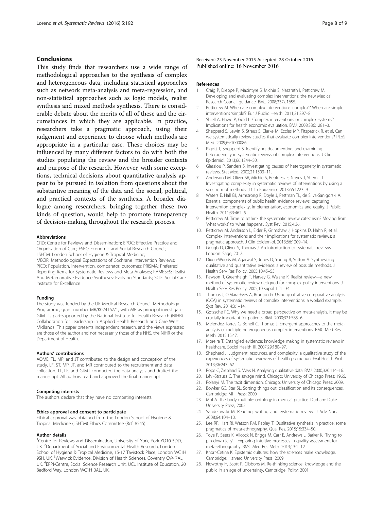#### <span id="page-7-0"></span>Conclusions

This study finds that researchers use a wide range of methodological approaches to the synthesis of complex and heterogeneous data, including statistical approaches such as network meta-analysis and meta-regression, and non-statistical approaches such as logic models, realist synthesis and mixed methods synthesis. There is considerable debate about the merits of all of these and the circumstances in which they are applicable. In practice, researchers take a pragmatic approach, using their judgement and experience to choose which methods are appropriate in a particular case. These choices may be influenced by many different factors to do with both the studies populating the review and the broader contexts and purpose of the research. However, with some exceptions, technical decisions about quantitative analysis appear to be pursued in isolation from questions about the substantive meaning of the data and the social, political, and practical contexts of the synthesis. A broader dialogue among researchers, bringing together these two kinds of question, would help to promote transparency of decision-making throughout the research process.

#### Abbreviations

CRD: Centre for Reviews and Dissemination; EPOC: Effective Practice and Organisation of Care; ESRC: Economic and Social Research Council; LSHTM: London School of Hygiene & Tropical Medicine; MECIR: Methodological Expectations of Cochrane Intervention Reviews; PICO: Population, intervention, comparator, outcomes; PRISMA: Preferred Reporting Items for Systematic Reviews and Meta-Analyses; RAMESES: Realist And Meta-narrative Evidence Syntheses: Evolving Standards; SCIE: Social Care Institute for Excellence

#### Funding

The study was funded by the UK Medical Research Council Methodology Programme, grant number MR/K024167/1, with MP as principal investigator. GJMT is part-supported by the National Institute for Health Research (NIHR) Collaboration for Leadership in Applied Health Research and Care West Midlands. This paper presents independent research, and the views expressed are those of the author and not necessarily those of the NHS, the NIHR or the Department of Health.

#### Authors' contributions

AOME, TL, MP, and JT contributed to the design and conception of the study. LF, ST, MP, JT, and MR contributed to the recruitment and data collection. TL, LF, and GJMT conducted the data analysis and drafted the manuscript. All authors read and approved the final manuscript.

#### Competing interests

The authors declare that they have no competing interests.

#### Ethics approval and consent to participate

Ethical approval was obtained from the London School of Hygiene & Tropical Medicine (LSHTM) Ethics Committee (Ref: 8545).

#### Author details

<sup>1</sup>Centre for Reviews and Dissemination, University of York, York YO10 5DD, UK. <sup>2</sup>Department of Social and Environmental Health Research, London School of Hygiene & Tropical Medicine, 15-17 Tavistock Place, London WC1H 9SH, UK. <sup>3</sup>Warwick Evidence, Division of Health Sciences, Coventry CV4 7AL, UK. <sup>4</sup> EPPI-Centre, Social Science Research Unit, UCL Institute of Education, 20 Bedford Way, London WC1H 0AL, UK.

#### References

- 1. Craig P, Dieppe P, Macintyre S, Michie S, Nazareth I, Petticrew M. Developing and evaluating complex interventions: the new Medical Research Council guidance. BMJ. 2008;337:a1655.
- 2. Petticrew M. When are complex interventions 'complex'? When are simple interventions 'simple'? Eur J Public Health. 2011;21:397–8.
- 3. Shiell A, Hawe P, Gold L. Complex interventions or complex systems? Implications for health economic evaluation. BMJ. 2008;336:1281–3.
- 4. Shepperd S, Lewin S, Straus S, Clarke M, Eccles MP, Fitzpatrick R, et al. Can we systematically review studies that evaluate complex interventions? PLoS Med. 2009;6:e1000086.
- 5. Pigott T, Shepperd S. Identifying, documenting, and examining heterogeneity in systematic reviews of complex interventions. J Clin Epidemiol. 2013;66:1244–50.
- 6. Glasziou P, Sanders S. Investigating causes of heterogeneity in systematic reviews. Stat Med. 2002;21:1503–11.
- 7. Anderson LM, Oliver SR, Michie S, Rehfuess E, Noyes J, Shemilt I. Investigating complexity in systematic reviews of interventions by using a spectrum of methods. J Clin Epidemiol. 2013;66:1223–9.
- 8. Waters E, Hall BJ, Armstrong R, Doyle J, Pettman TL, de Silva-Sanigorski A. Essential components of public health evidence reviews: capturing intervention complexity, implementation, economics and equity. J Public Health. 2011;33:462–5.
- 9. Petticrew M. Time to rethink the systematic review catechism? Moving from 'what works' to 'what happens'. Syst Rev. 2015;4:36.
- 10. Petticrew M, Anderson L, Elder R, Grimshaw J, Hopkins D, Hahn R, et al. Complex interventions and their implications for systematic reviews: a pragmatic approach. J Clin Epidemiol. 2013;66:1209–14.
- 11. Gough D, Oliver S, Thomas J. An introduction to systematic reviews. London: Sage; 2012.
- 12. Dixon-Woods M, Agarwal S, Jones D, Young B, Sutton A. Synthesising qualitative and quantitative evidence: a review of possible methods. J Health Serv Res Policy. 2005;10:45–53.
- 13. Pawson R, Greenhalgh T, Harvey G, Walshe K. Realist review—a new method of systematic review designed for complex policy interventions. J Health Serv Res Policy. 2005;10 suppl 1:21–34.
- 14. Thomas J, O'Mara-Eves A, Brunton G. Using qualitative comparative analysis (QCA) in systematic reviews of complex interventions: a worked example. Syst Rev. 2014;3:1–14.
- 15. Gøtzsche PC. Why we need a broad perspective on meta-analysis. It may be crucially important for patients. BMJ. 2000;321:585–6.
- 16. Melendez-Torres G, Bonell C, Thomas J. Emergent approaches to the metaanalysis of multiple heterogeneous complex interventions. BMC Med Res Meth. 2015;15:47.
- 17. Moreira T. Entangled evidence: knowledge making in systematic reviews in healthcare. Sociol Health Ill. 2007;29:180–97.
- 18. Shepherd J. Judgment, resources, and complexity: a qualitative study of the experiences of systematic reviewers of health promotion. Eval Health Prof. 2013;36:247–67.
- 19. Pope C, Ziebland S, Mays N. Analysing qualitative data. BMJ. 2000;320:114–16.
- 20. Lévi-Strauss C. The savage mind. Chicago: University of Chicago Press; 1966.
- 21. Polanyi M. The tacit dimension. Chicago: University of Chicago Press; 2009.
- 22. Bowker GC, Star SL. Sorting things out: classification and its consequences. Cambridge: MIT Press; 2000.
- 23. Mol A. The body multiple: ontology in medical practice. Durham: Duke University Press; 2002.
- 24. Sandelowski M. Reading, writing and systematic review. J Adv Nurs. 2008;64:104–10.
- 25. Lee RP, Hart RI, Watson RM, Rapley T. Qualitative synthesis in practice: some pragmatics of meta-ethnography. Qual Res. 2015;15:334–50.
- 26. Toye F, Seers K, Allcock N, Briggs M, Carr E, Andrews J, Barker K. 'Trying to pin down jelly'—exploring intuitive processes in quality assessment for meta-ethnography. BMC Med Res Meth. 2013;13:1–12.
- 27. Knorr-Cetina K. Epistemic cultures: how the sciences make knowledge. Cambridge: Harvard University Press; 2009.
- 28. Nowotny H, Scott P, Gibbons M. Re-thinking science: knowledge and the public in an age of uncertainty. Cambridge: Polity; 2001.